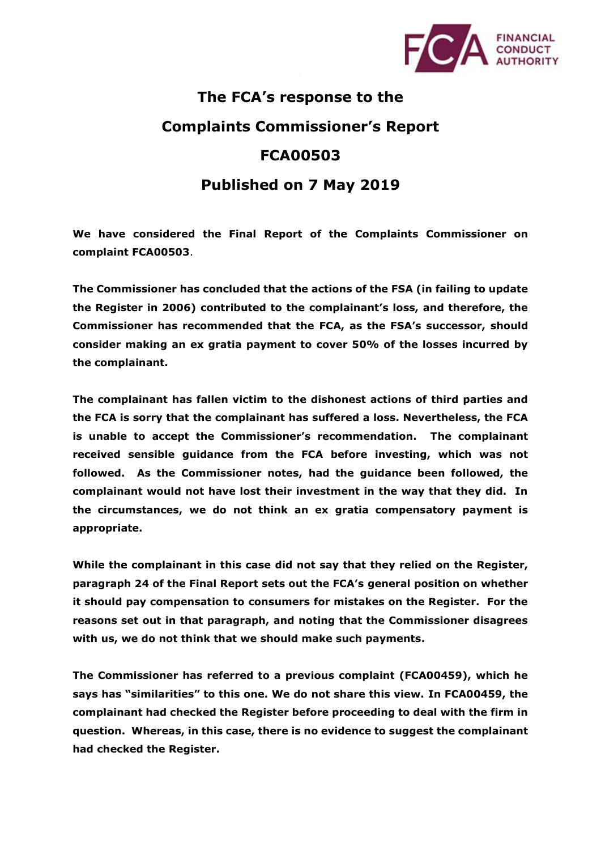

## **The FCA's response to the Complaints Commissioner's Report FCA00503 Published on 7 May 2019**

**We have considered the Final Report of the Complaints Commissioner on complaint FCA00503**.

**The Commissioner has concluded that the actions of the FSA (in failing to update the Register in 2006) contributed to the complainant's loss, and therefore, the Commissioner has recommended that the FCA, as the FSA's successor, should consider making an ex gratia payment to cover 50% of the losses incurred by the complainant.** 

**The complainant has fallen victim to the dishonest actions of third parties and the FCA is sorry that the complainant has suffered a loss. Nevertheless, the FCA is unable to accept the Commissioner's recommendation. The complainant received sensible guidance from the FCA before investing, which was not followed. As the Commissioner notes, had the guidance been followed, the complainant would not have lost their investment in the way that they did. In the circumstances, we do not think an ex gratia compensatory payment is appropriate.** 

**While the complainant in this case did not say that they relied on the Register, paragraph 24 of the Final Report sets out the FCA's general position on whether it should pay compensation to consumers for mistakes on the Register. For the reasons set out in that paragraph, and noting that the Commissioner disagrees with us, we do not think that we should make such payments.** 

**The Commissioner has referred to a previous complaint (FCA00459), which he says has "similarities" to this one. We do not share this view. In FCA00459, the complainant had checked the Register before proceeding to deal with the firm in question. Whereas, in this case, there is no evidence to suggest the complainant had checked the Register.**